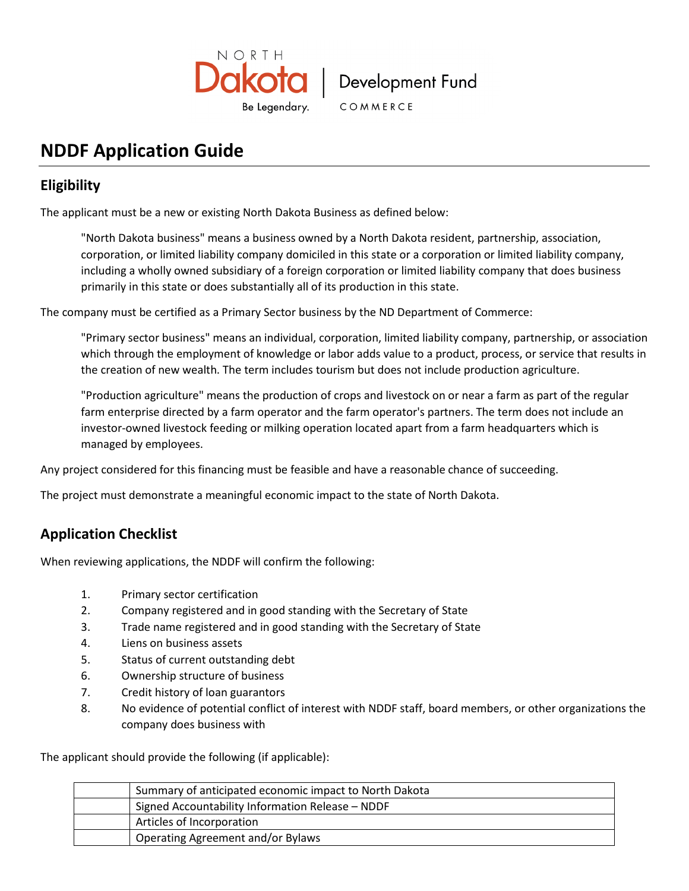

# Development Fund

COMMERCE

# **NDDF Application Guide**

## **Eligibility**

The applicant must be a new or existing North Dakota Business as defined below:

"North Dakota business" means a business owned by a North Dakota resident, partnership, association, corporation, or limited liability company domiciled in this state or a corporation or limited liability company, including a wholly owned subsidiary of a foreign corporation or limited liability company that does business primarily in this state or does substantially all of its production in this state.

The company must be certified as a Primary Sector business by the ND Department of Commerce:

"Primary sector business" means an individual, corporation, limited liability company, partnership, or association which through the employment of knowledge or labor adds value to a product, process, or service that results in the creation of new wealth. The term includes tourism but does not include production agriculture.

"Production agriculture" means the production of crops and livestock on or near a farm as part of the regular farm enterprise directed by a farm operator and the farm operator's partners. The term does not include an investor-owned livestock feeding or milking operation located apart from a farm headquarters which is managed by employees.

Any project considered for this financing must be feasible and have a reasonable chance of succeeding.

The project must demonstrate a meaningful economic impact to the state of North Dakota.

## **Application Checklist**

When reviewing applications, the NDDF will confirm the following:

- 1. Primary sector certification
- 2. Company registered and in good standing with the Secretary of State
- 3. Trade name registered and in good standing with the Secretary of State
- 4. Liens on business assets
- 5. Status of current outstanding debt
- 6. Ownership structure of business
- 7. Credit history of loan guarantors
- 8. No evidence of potential conflict of interest with NDDF staff, board members, or other organizations the company does business with

The applicant should provide the following (if applicable):

| Summary of anticipated economic impact to North Dakota |
|--------------------------------------------------------|
| Signed Accountability Information Release - NDDF       |
| Articles of Incorporation                              |
| Operating Agreement and/or Bylaws                      |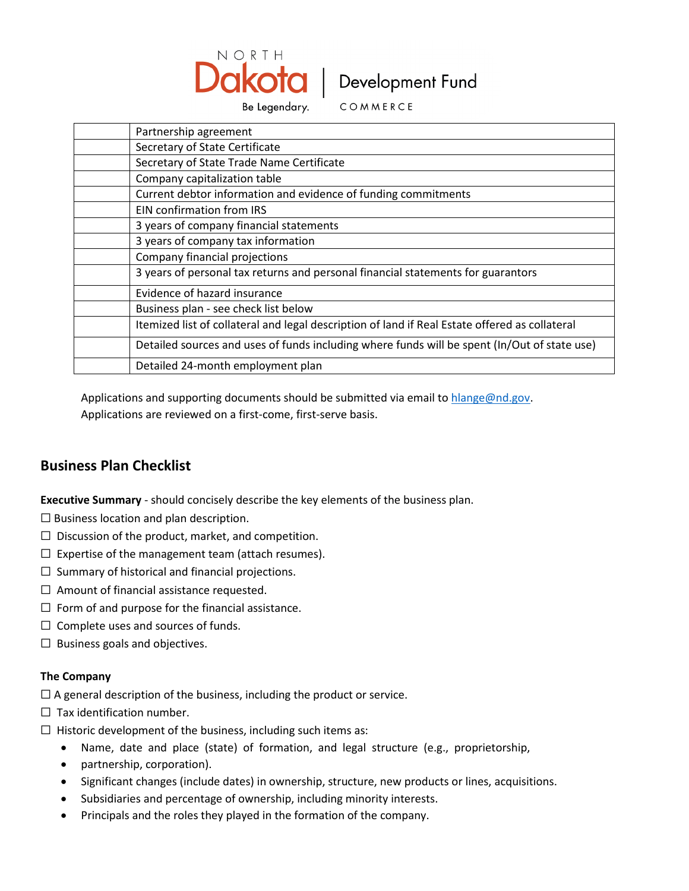

Be Legendary.

COMMERCE

| Partnership agreement                                                                          |
|------------------------------------------------------------------------------------------------|
| Secretary of State Certificate                                                                 |
| Secretary of State Trade Name Certificate                                                      |
| Company capitalization table                                                                   |
| Current debtor information and evidence of funding commitments                                 |
| EIN confirmation from IRS                                                                      |
| 3 years of company financial statements                                                        |
| 3 years of company tax information                                                             |
| Company financial projections                                                                  |
| 3 years of personal tax returns and personal financial statements for guarantors               |
| Evidence of hazard insurance                                                                   |
| Business plan - see check list below                                                           |
| Itemized list of collateral and legal description of land if Real Estate offered as collateral |
| Detailed sources and uses of funds including where funds will be spent (In/Out of state use)   |
| Detailed 24-month employment plan                                                              |

Applications and supporting documents should be submitted via email to [hlange@nd.gov.](mailto:hlange@nd.gov)

Applications are reviewed on a first-come, first-serve basis.

## **Business Plan Checklist**

**Executive Summary** - should concisely describe the key elements of the business plan.

- $\Box$  Business location and plan description.
- $\Box$  Discussion of the product, market, and competition.
- $\Box$  Expertise of the management team (attach resumes).
- $\Box$  Summary of historical and financial projections.
- $\Box$  Amount of financial assistance requested.
- $\Box$  Form of and purpose for the financial assistance.
- $\Box$  Complete uses and sources of funds.
- $\Box$  Business goals and objectives.

#### **The Company**

- $\Box$  A general description of the business, including the product or service.
- $\Box$  Tax identification number.
- $\Box$  Historic development of the business, including such items as:
	- Name, date and place (state) of formation, and legal structure (e.g., proprietorship,
	- partnership, corporation).
	- Significant changes (include dates) in ownership, structure, new products or lines, acquisitions.
	- Subsidiaries and percentage of ownership, including minority interests.
	- Principals and the roles they played in the formation of the company.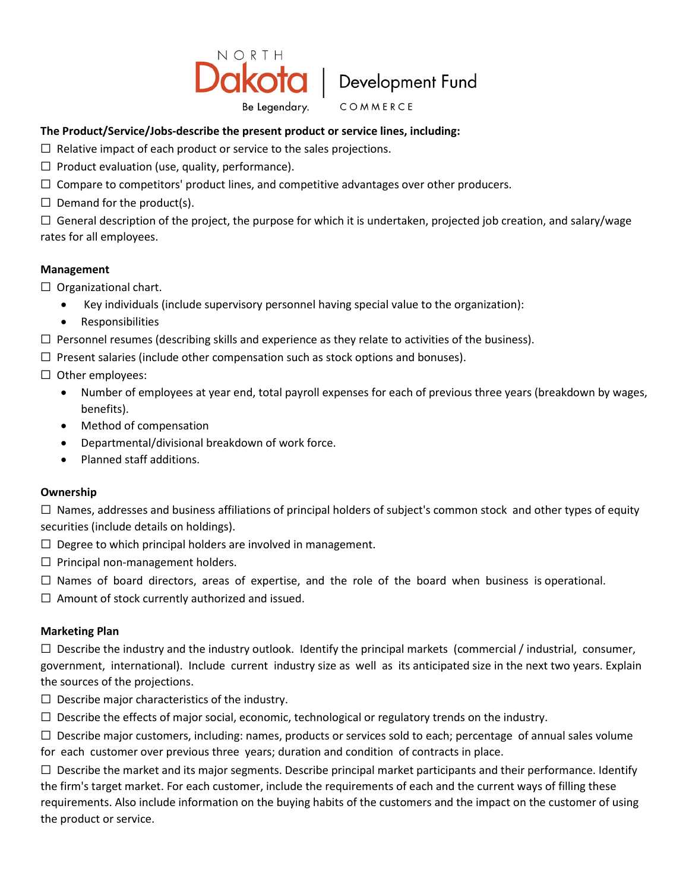

COMMERCE

### **The Product/Service/Jobs-describe the present product or service lines, including:**

- $\Box$  Relative impact of each product or service to the sales projections.
- $\Box$  Product evaluation (use, quality, performance).
- ☐ Compare to competitors' product lines, and competitive advantages over other producers.
- $\Box$  Demand for the product(s).

 $\Box$  General description of the project, the purpose for which it is undertaken, projected job creation, and salary/wage rates for all employees.

### **Management**

- $\Box$  Organizational chart.
	- Key individuals (include supervisory personnel having special value to the organization):
	- Responsibilities
- $\Box$  Personnel resumes (describing skills and experience as they relate to activities of the business).
- $\Box$  Present salaries (include other compensation such as stock options and bonuses).
- $\Box$  Other employees:
	- Number of employees at year end, total payroll expenses for each of previous three years (breakdown by wages, benefits).
	- Method of compensation
	- Departmental/divisional breakdown of work force.
	- Planned staff additions.

#### **Ownership**

 $\Box$  Names, addresses and business affiliations of principal holders of subject's common stock and other types of equity securities (include details on holdings).

- $\Box$  Degree to which principal holders are involved in management.
- $\Box$  Principal non-management holders.
- $\Box$  Names of board directors, areas of expertise, and the role of the board when business is operational.
- $\Box$  Amount of stock currently authorized and issued.

#### **Marketing Plan**

 $\Box$  Describe the industry and the industry outlook. Identify the principal markets (commercial / industrial, consumer, government, international). Include current industry size as well as its anticipated size in the next two years. Explain the sources of the projections.

- $\Box$  Describe major characteristics of the industry.
- $\Box$  Describe the effects of major social, economic, technological or regulatory trends on the industry.
- $\Box$  Describe major customers, including: names, products or services sold to each; percentage of annual sales volume for each customer over previous three years; duration and condition of contracts in place.

 $\Box$  Describe the market and its major segments. Describe principal market participants and their performance. Identify the firm's target market. For each customer, include the requirements of each and the current ways of filling these requirements. Also include information on the buying habits of the customers and the impact on the customer of using the product or service.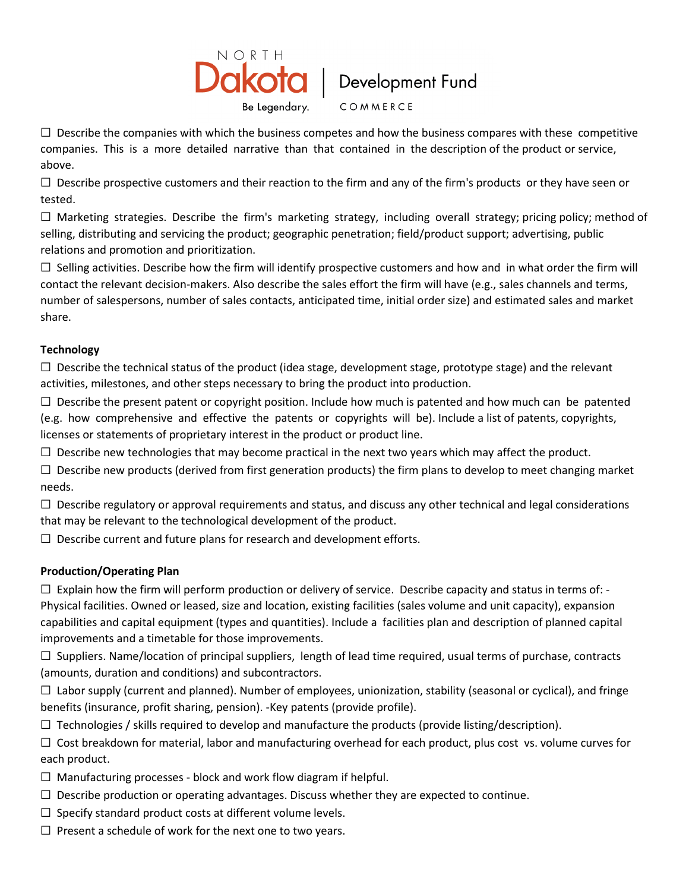

COMMERCE

 $\Box$  Describe the companies with which the business competes and how the business compares with these competitive companies. This is a more detailed narrative than that contained in the description of the product or service, above.

 $\Box$  Describe prospective customers and their reaction to the firm and any of the firm's products or they have seen or tested.

 $\Box$  Marketing strategies. Describe the firm's marketing strategy, including overall strategy; pricing policy; method of selling, distributing and servicing the product; geographic penetration; field/product support; advertising, public relations and promotion and prioritization.

 $\Box$  Selling activities. Describe how the firm will identify prospective customers and how and in what order the firm will contact the relevant decision-makers. Also describe the sales effort the firm will have (e.g., sales channels and terms, number of salespersons, number of sales contacts, anticipated time, initial order size) and estimated sales and market share.

### **Technology**

 $\Box$  Describe the technical status of the product (idea stage, development stage, prototype stage) and the relevant activities, milestones, and other steps necessary to bring the product into production.

 $\Box$  Describe the present patent or copyright position. Include how much is patented and how much can be patented (e.g. how comprehensive and effective the patents or copyrights will be). Include a list of patents, copyrights, licenses or statements of proprietary interest in the product or product line.

 $\Box$  Describe new technologies that may become practical in the next two years which may affect the product.

 $\Box$  Describe new products (derived from first generation products) the firm plans to develop to meet changing market needs.

 $\Box$  Describe regulatory or approval requirements and status, and discuss any other technical and legal considerations that may be relevant to the technological development of the product.

 $\Box$  Describe current and future plans for research and development efforts.

### **Production/Operating Plan**

 $\square$  Explain how the firm will perform production or delivery of service. Describe capacity and status in terms of: -Physical facilities. Owned or leased, size and location, existing facilities (sales volume and unit capacity), expansion capabilities and capital equipment (types and quantities). Include a facilities plan and description of planned capital improvements and a timetable for those improvements.

 $\Box$  Suppliers. Name/location of principal suppliers, length of lead time required, usual terms of purchase, contracts (amounts, duration and conditions) and subcontractors.

☐ Labor supply (current and planned). Number of employees, unionization, stability (seasonal or cyclical), and fringe benefits (insurance, profit sharing, pension). -Key patents (provide profile).

 $\Box$  Technologies / skills required to develop and manufacture the products (provide listing/description).

 $\Box$  Cost breakdown for material, labor and manufacturing overhead for each product, plus cost vs. volume curves for each product.

- $\Box$  Manufacturing processes block and work flow diagram if helpful.
- $\Box$  Describe production or operating advantages. Discuss whether they are expected to continue.
- $\Box$  Specify standard product costs at different volume levels.
- $\Box$  Present a schedule of work for the next one to two years.